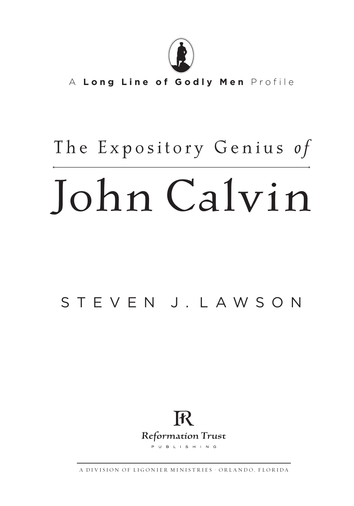

A Long Line of Godly Men Profile

### T h e E x p o s i t o r y G e n i u s *o f*

# John Calvin

### STEVEN J. LAWSON



A D IV I S I ON OF LIGONIER MINISTRIES · ORLANDO, FLORIDA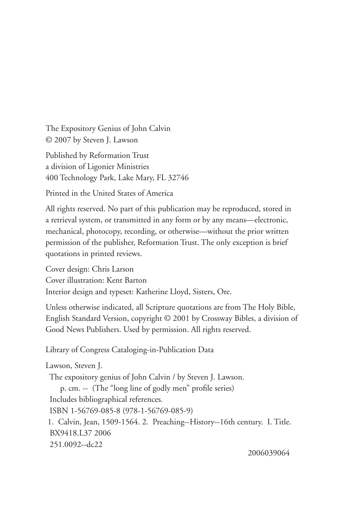The Expository Genius of John Calvin © 2007 by Steven J. Lawson

Published by Reformation Trust a division of Ligonier Ministries 400 Technology Park, Lake Mary, FL 32746

Printed in the United States of America

All rights reserved. No part of this publication may be reproduced, stored in a retrieval system, or transmitted in any form or by any means—electronic, mechanical, photocopy, recording, or otherwise—without the prior written permission of the publisher, Reformation Trust. The only exception is brief quotations in printed reviews.

Cover design: Chris Larson Cover illustration: Kent Barton Interior design and typeset: Katherine Lloyd, Sisters, Ore.

Unless otherwise indicated, all Scripture quotations are from The Holy Bible, English Standard Version, copyright © 2001 by Crossway Bibles, a division of Good News Publishers. Used by permission. All rights reserved.

Library of Congress Cataloging-in-Publication Data

Lawson, Steven J. The expository genius of John Calvin / by Steven J. Lawson. p. cm. -- (The "long line of godly men" profile series) Includes bibliographical references. ISBN 1-56769-085-8 (978-1-56769-085-9) 1. Calvin, Jean, 1509-1564. 2. Preaching--History--16th century. I. Title. BX9418.L37 2006 251.0092--dc22

2006039064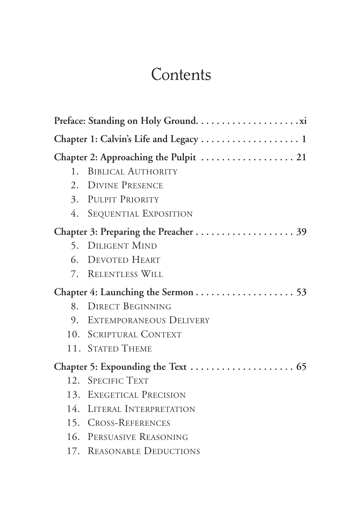### **Contents**

| $1_{-}$ | <b>BIBLICAL AUTHORITY</b>  |  |
|---------|----------------------------|--|
|         | 2. DIVINE PRESENCE         |  |
|         | 3. PULPIT PRIORITY         |  |
|         | 4. SEQUENTIAL EXPOSITION   |  |
|         |                            |  |
|         | 5. DILIGENT MIND           |  |
|         | 6. DEVOTED HEART           |  |
|         | 7. RELENTLESS WILL         |  |
|         |                            |  |
|         | 8. DIRECT BEGINNING        |  |
|         | 9. EXTEMPORANEOUS DELIVERY |  |
|         | 10. SCRIPTURAL CONTEXT     |  |
|         | 11. STATED THEME           |  |
|         |                            |  |
|         | 12. SPECIFIC TEXT          |  |
|         | 13. EXEGETICAL PRECISION   |  |
|         | 14. LITERAL INTERPRETATION |  |
|         | 15. CROSS-REFERENCES       |  |
|         | 16. PERSUASIVE REASONING   |  |
|         | 17. REASONABLE DEDUCTIONS  |  |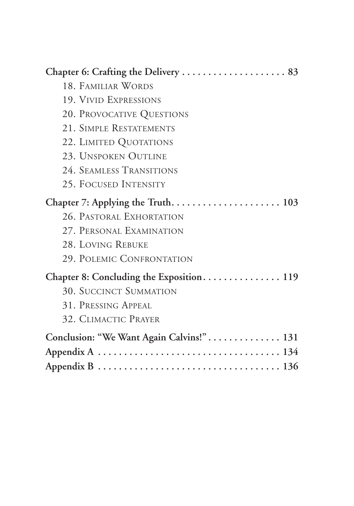| 18. FAMILIAR WORDS                       |
|------------------------------------------|
| 19. VIVID EXPRESSIONS                    |
| 20. PROVOCATIVE QUESTIONS                |
| 21. SIMPLE RESTATEMENTS                  |
| 22. LIMITED QUOTATIONS                   |
| 23. UNSPOKEN OUTLINE                     |
| 24. SEAMLESS TRANSITIONS                 |
| 25. FOCUSED INTENSITY                    |
|                                          |
| 26. PASTORAL EXHORTATION                 |
| 27. PERSONAL EXAMINATION                 |
| 28. LOVING REBUKE                        |
| 29. POLEMIC CONFRONTATION                |
| Chapter 8: Concluding the Exposition 119 |
| <b>30. SUCCINCT SUMMATION</b>            |
| 31. PRESSING APPEAL                      |
| 32. CLIMACTIC PRAYER                     |
| Conclusion: "We Want Again Calvins!" 131 |
|                                          |
|                                          |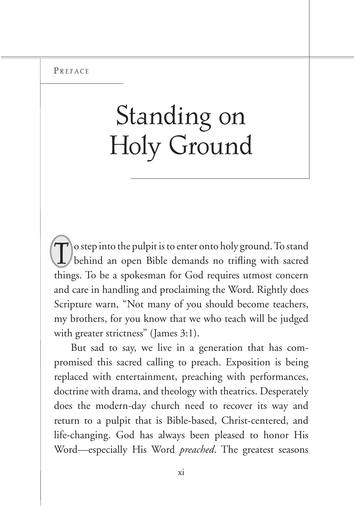## Standing on Holy Ground

T o step into the pulpit is to enter onto holy ground. To stand behind an open Bible demands no trifling with sacred things. To be a spokesman for God requires utmost concern and care in handling and proclaiming the Word. Rightly does Scripture warn, "Not many of you should become teachers, my brothers, for you know that we who teach will be judged with greater strictness" (James 3:1).

But sad to say, we live in a generation that has compromised this sacred calling to preach. Exposition is being replaced with entertainment, preaching with performances, doctrine with drama, and theology with theatrics. Desperately does the modern-day church need to recover its way and return to a pulpit that is Bible-based, Christ-centered, and life-changing. God has always been pleased to honor His Word—especially His Word *preached*. The greatest seasons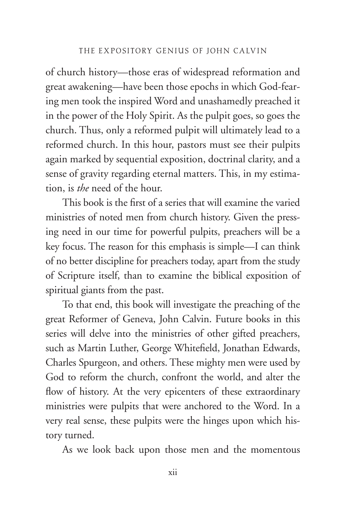of church history—those eras of widespread reformation and great awakening—have been those epochs in which God-fearing men took the inspired Word and unashamedly preached it in the power of the Holy Spirit. As the pulpit goes, so goes the church. Thus, only a reformed pulpit will ultimately lead to a reformed church. In this hour, pastors must see their pulpits again marked by sequential exposition, doctrinal clarity, and a sense of gravity regarding eternal matters. This, in my estimation, is *the* need of the hour.

This book is the first of a series that will examine the varied ministries of noted men from church history. Given the pressing need in our time for powerful pulpits, preachers will be a key focus. The reason for this emphasis is simple—I can think of no better discipline for preachers today, apart from the study of Scripture itself, than to examine the biblical exposition of spiritual giants from the past.

To that end, this book will investigate the preaching of the great Reformer of Geneva, John Calvin. Future books in this series will delve into the ministries of other gifted preachers, such as Martin Luther, George Whitefield, Jonathan Edwards, Charles Spurgeon, and others. These mighty men were used by God to reform the church, confront the world, and alter the flow of history. At the very epicenters of these extraordinary ministries were pulpits that were anchored to the Word. In a very real sense, these pulpits were the hinges upon which history turned.

As we look back upon those men and the momentous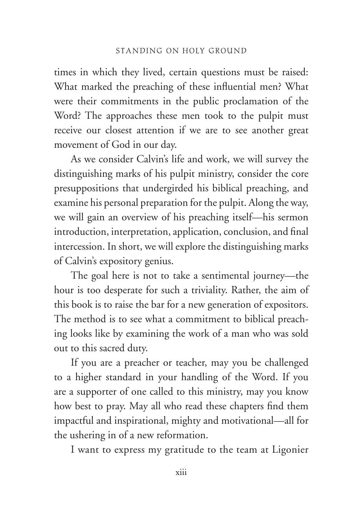times in which they lived, certain questions must be raised: What marked the preaching of these influential men? What were their commitments in the public proclamation of the Word? The approaches these men took to the pulpit must receive our closest attention if we are to see another great movement of God in our day.

As we consider Calvin's life and work, we will survey the distinguishing marks of his pulpit ministry, consider the core presuppositions that undergirded his biblical preaching, and examine his personal preparation for the pulpit. Along the way, we will gain an overview of his preaching itself—his sermon introduction, interpretation, application, conclusion, and final intercession. In short, we will explore the distinguishing marks of Calvin's expository genius.

The goal here is not to take a sentimental journey—the hour is too desperate for such a triviality. Rather, the aim of this book is to raise the bar for a new generation of expositors. The method is to see what a commitment to biblical preaching looks like by examining the work of a man who was sold out to this sacred duty.

If you are a preacher or teacher, may you be challenged to a higher standard in your handling of the Word. If you are a supporter of one called to this ministry, may you know how best to pray. May all who read these chapters find them impactful and inspirational, mighty and motivational—all for the ushering in of a new reformation.

I want to express my gratitude to the team at Ligonier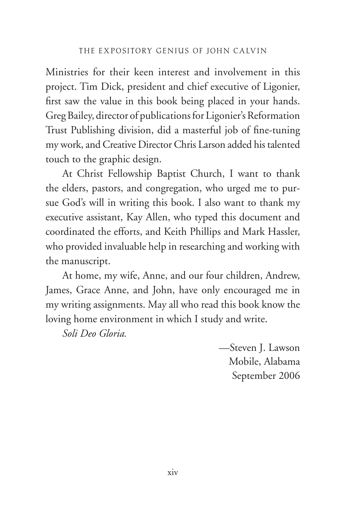Ministries for their keen interest and involvement in this project. Tim Dick, president and chief executive of Ligonier, first saw the value in this book being placed in your hands. Greg Bailey, director of publications for Ligonier's Reformation Trust Publishing division, did a masterful job of fine-tuning my work, and Creative Director Chris Larson added his talented touch to the graphic design.

At Christ Fellowship Baptist Church, I want to thank the elders, pastors, and congregation, who urged me to pursue God's will in writing this book. I also want to thank my executive assistant, Kay Allen, who typed this document and coordinated the efforts, and Keith Phillips and Mark Hassler, who provided invaluable help in researching and working with the manuscript.

At home, my wife, Anne, and our four children, Andrew, James, Grace Anne, and John, have only encouraged me in my writing assignments. May all who read this book know the loving home environment in which I study and write.

*Soli Deo Gloria.*

—Steven J. Lawson Mobile, Alabama September 2006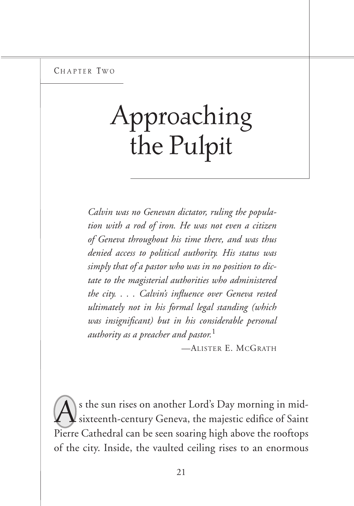CHAPTER TWO

# Approaching the Pulpit

*Calvin was no Genevan dictator, ruling the population with a rod of iron. He was not even a citizen of Geneva throughout his time there, and was thus denied access to political authority. His status was simply that of a pastor who was in no position to dictate to the magisterial authorities who administered the city. . . . Calvin's influence over Geneva rested ultimately not in his formal legal standing (which was insignificant) but in his considerable personal authority as a preacher and pastor.*<sup>1</sup>

—Alister E. McGrath

As the sun rises on another Lord's Day morning in mid-<br>sixteenth-century Geneva, the majestic edifice of Saint Pierre Cathedral can be seen soaring high above the rooftops of the city. Inside, the vaulted ceiling rises to an enormous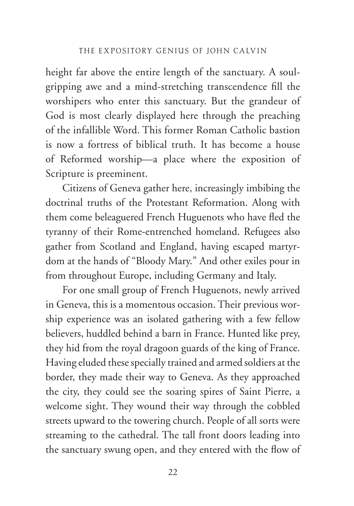height far above the entire length of the sanctuary. A soulgripping awe and a mind-stretching transcendence fill the worshipers who enter this sanctuary. But the grandeur of God is most clearly displayed here through the preaching of the infallible Word. This former Roman Catholic bastion is now a fortress of biblical truth. It has become a house of Reformed worship—a place where the exposition of Scripture is preeminent.

Citizens of Geneva gather here, increasingly imbibing the doctrinal truths of the Protestant Reformation. Along with them come beleaguered French Huguenots who have fled the tyranny of their Rome-entrenched homeland. Refugees also gather from Scotland and England, having escaped martyrdom at the hands of "Bloody Mary." And other exiles pour in from throughout Europe, including Germany and Italy.

For one small group of French Huguenots, newly arrived in Geneva, this is a momentous occasion. Their previous worship experience was an isolated gathering with a few fellow believers, huddled behind a barn in France. Hunted like prey, they hid from the royal dragoon guards of the king of France. Having eluded these specially trained and armed soldiers at the border, they made their way to Geneva. As they approached the city, they could see the soaring spires of Saint Pierre, a welcome sight. They wound their way through the cobbled streets upward to the towering church. People of all sorts were streaming to the cathedral. The tall front doors leading into the sanctuary swung open, and they entered with the flow of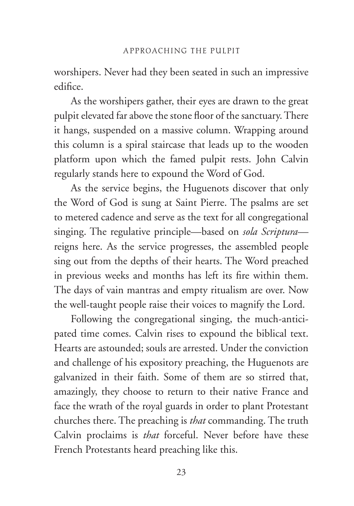worshipers. Never had they been seated in such an impressive edifice.

As the worshipers gather, their eyes are drawn to the great pulpit elevated far above the stone floor of the sanctuary. There it hangs, suspended on a massive column. Wrapping around this column is a spiral staircase that leads up to the wooden platform upon which the famed pulpit rests. John Calvin regularly stands here to expound the Word of God.

As the service begins, the Huguenots discover that only the Word of God is sung at Saint Pierre. The psalms are set to metered cadence and serve as the text for all congregational singing. The regulative principle—based on *sola Scriptura* reigns here. As the service progresses, the assembled people sing out from the depths of their hearts. The Word preached in previous weeks and months has left its fire within them. The days of vain mantras and empty ritualism are over. Now the well-taught people raise their voices to magnify the Lord.

Following the congregational singing, the much-anticipated time comes. Calvin rises to expound the biblical text. Hearts are astounded; souls are arrested. Under the conviction and challenge of his expository preaching, the Huguenots are galvanized in their faith. Some of them are so stirred that, amazingly, they choose to return to their native France and face the wrath of the royal guards in order to plant Protestant churches there. The preaching is *that* commanding. The truth Calvin proclaims is *that* forceful. Never before have these French Protestants heard preaching like this.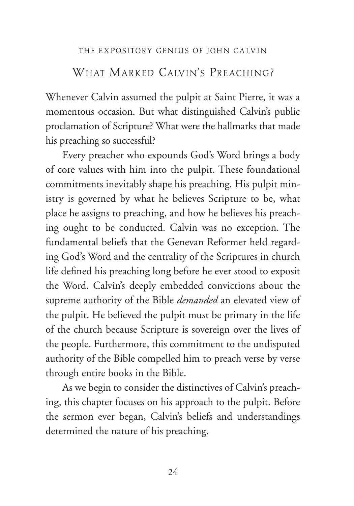#### WHAT MARKED CAIVIN'S PREACHING?

Whenever Calvin assumed the pulpit at Saint Pierre, it was a momentous occasion. But what distinguished Calvin's public proclamation of Scripture? What were the hallmarks that made his preaching so successful?

Every preacher who expounds God's Word brings a body of core values with him into the pulpit. These foundational commitments inevitably shape his preaching. His pulpit ministry is governed by what he believes Scripture to be, what place he assigns to preaching, and how he believes his preaching ought to be conducted. Calvin was no exception. The fundamental beliefs that the Genevan Reformer held regarding God's Word and the centrality of the Scriptures in church life defined his preaching long before he ever stood to exposit the Word. Calvin's deeply embedded convictions about the supreme authority of the Bible *demanded* an elevated view of the pulpit. He believed the pulpit must be primary in the life of the church because Scripture is sovereign over the lives of the people. Furthermore, this commitment to the undisputed authority of the Bible compelled him to preach verse by verse through entire books in the Bible.

As we begin to consider the distinctives of Calvin's preaching, this chapter focuses on his approach to the pulpit. Before the sermon ever began, Calvin's beliefs and understandings determined the nature of his preaching.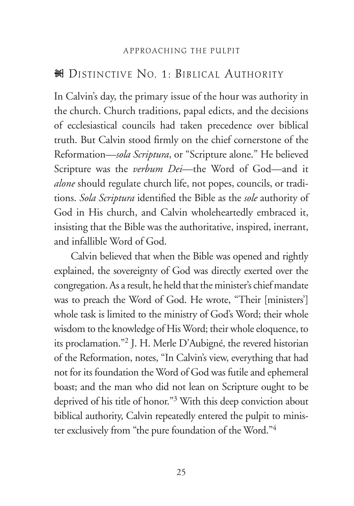#### S Distinctive No. 1: Biblical Authority

In Calvin's day, the primary issue of the hour was authority in the church. Church traditions, papal edicts, and the decisions of ecclesiastical councils had taken precedence over biblical truth. But Calvin stood firmly on the chief cornerstone of the Reformation—*sola Scriptura*, or "Scripture alone." He believed Scripture was the *verbum Dei*—the Word of God—and it *alone* should regulate church life, not popes, councils, or traditions. *Sola Scriptura* identified the Bible as the *sole* authority of God in His church, and Calvin wholeheartedly embraced it, insisting that the Bible was the authoritative, inspired, inerrant, and infallible Word of God.

Calvin believed that when the Bible was opened and rightly explained, the sovereignty of God was directly exerted over the congregation. As a result, he held that the minister's chief mandate was to preach the Word of God. He wrote, "Their [ministers'] whole task is limited to the ministry of God's Word; their whole wisdom to the knowledge of His Word; their whole eloquence, to its proclamation."2 J. H. Merle D'Aubigné, the revered historian of the Reformation, notes, "In Calvin's view, everything that had not for its foundation the Word of God was futile and ephemeral boast; and the man who did not lean on Scripture ought to be deprived of his title of honor."3 With this deep conviction about biblical authority, Calvin repeatedly entered the pulpit to minister exclusively from "the pure foundation of the Word."4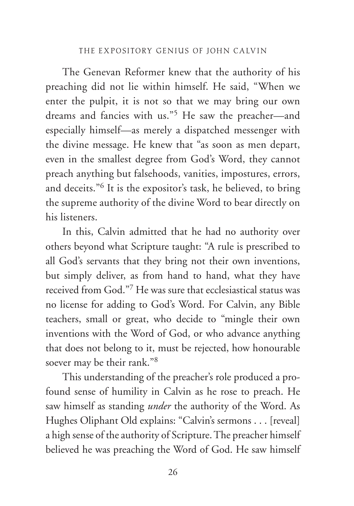The Genevan Reformer knew that the authority of his preaching did not lie within himself. He said, "When we enter the pulpit, it is not so that we may bring our own dreams and fancies with us."5 He saw the preacher—and especially himself—as merely a dispatched messenger with the divine message. He knew that "as soon as men depart, even in the smallest degree from God's Word, they cannot preach anything but falsehoods, vanities, impostures, errors, and deceits."6 It is the expositor's task, he believed, to bring the supreme authority of the divine Word to bear directly on his listeners.

In this, Calvin admitted that he had no authority over others beyond what Scripture taught: "A rule is prescribed to all God's servants that they bring not their own inventions, but simply deliver, as from hand to hand, what they have received from God."7 He was sure that ecclesiastical status was no license for adding to God's Word. For Calvin, any Bible teachers, small or great, who decide to "mingle their own inventions with the Word of God, or who advance anything that does not belong to it, must be rejected, how honourable soever may be their rank."8

This understanding of the preacher's role produced a profound sense of humility in Calvin as he rose to preach. He saw himself as standing *under* the authority of the Word. As Hughes Oliphant Old explains: "Calvin's sermons . . . [reveal] a high sense of the authority of Scripture. The preacher himself believed he was preaching the Word of God. He saw himself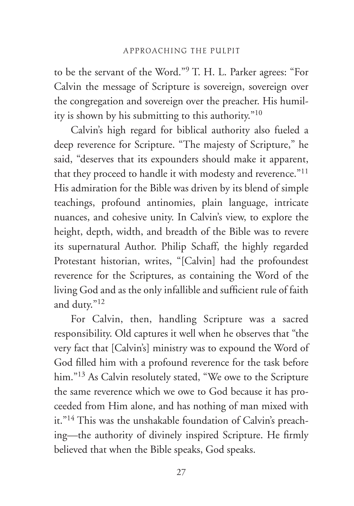to be the servant of the Word."9 T. H. L. Parker agrees: "For Calvin the message of Scripture is sovereign, sovereign over the congregation and sovereign over the preacher. His humility is shown by his submitting to this authority."10

Calvin's high regard for biblical authority also fueled a deep reverence for Scripture. "The majesty of Scripture," he said, "deserves that its expounders should make it apparent, that they proceed to handle it with modesty and reverence."<sup>11</sup> His admiration for the Bible was driven by its blend of simple teachings, profound antinomies, plain language, intricate nuances, and cohesive unity. In Calvin's view, to explore the height, depth, width, and breadth of the Bible was to revere its supernatural Author. Philip Schaff, the highly regarded Protestant historian, writes, "[Calvin] had the profoundest reverence for the Scriptures, as containing the Word of the living God and as the only infallible and sufficient rule of faith and duty."12

For Calvin, then, handling Scripture was a sacred responsibility. Old captures it well when he observes that "the very fact that [Calvin's] ministry was to expound the Word of God filled him with a profound reverence for the task before him."<sup>13</sup> As Calvin resolutely stated, "We owe to the Scripture the same reverence which we owe to God because it has proceeded from Him alone, and has nothing of man mixed with it."<sup>14</sup> This was the unshakable foundation of Calvin's preaching—the authority of divinely inspired Scripture. He firmly believed that when the Bible speaks, God speaks.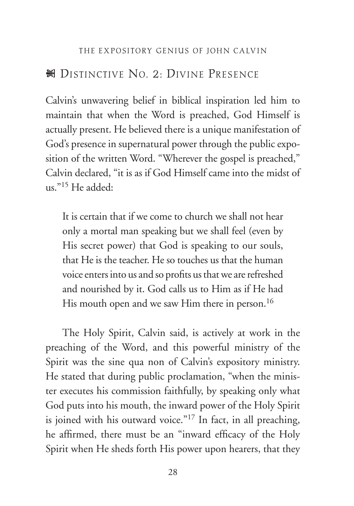#### N DISTINCTIVE NO. 2: DIVINE PRESENCE

Calvin's unwavering belief in biblical inspiration led him to maintain that when the Word is preached, God Himself is actually present. He believed there is a unique manifestation of God's presence in supernatural power through the public exposition of the written Word. "Wherever the gospel is preached," Calvin declared, "it is as if God Himself came into the midst of us."15 He added:

It is certain that if we come to church we shall not hear only a mortal man speaking but we shall feel (even by His secret power) that God is speaking to our souls, that He is the teacher. He so touches us that the human voice enters into us and so profits us that we are refreshed and nourished by it. God calls us to Him as if He had His mouth open and we saw Him there in person.<sup>16</sup>

The Holy Spirit, Calvin said, is actively at work in the preaching of the Word, and this powerful ministry of the Spirit was the sine qua non of Calvin's expository ministry. He stated that during public proclamation, "when the minister executes his commission faithfully, by speaking only what God puts into his mouth, the inward power of the Holy Spirit is joined with his outward voice."<sup>17</sup> In fact, in all preaching, he affirmed, there must be an "inward efficacy of the Holy Spirit when He sheds forth His power upon hearers, that they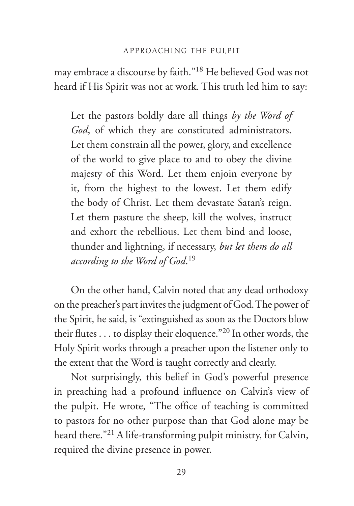may embrace a discourse by faith."18 He believed God was not heard if His Spirit was not at work. This truth led him to say:

Let the pastors boldly dare all things *by the Word of God*, of which they are constituted administrators. Let them constrain all the power, glory, and excellence of the world to give place to and to obey the divine majesty of this Word. Let them enjoin everyone by it, from the highest to the lowest. Let them edify the body of Christ. Let them devastate Satan's reign. Let them pasture the sheep, kill the wolves, instruct and exhort the rebellious. Let them bind and loose, thunder and lightning, if necessary, *but let them do all according to the Word of God*. 19

On the other hand, Calvin noted that any dead orthodoxy on the preacher's part invites the judgment of God. The power of the Spirit, he said, is "extinguished as soon as the Doctors blow their flutes . . . to display their eloquence."20 In other words, the Holy Spirit works through a preacher upon the listener only to the extent that the Word is taught correctly and clearly.

Not surprisingly, this belief in God's powerful presence in preaching had a profound influence on Calvin's view of the pulpit. He wrote, "The office of teaching is committed to pastors for no other purpose than that God alone may be heard there."21 A life-transforming pulpit ministry, for Calvin, required the divine presence in power.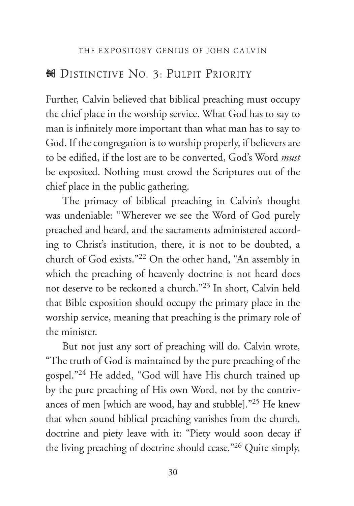#### No. 3: Pulpit Priority & Distinctive No. 3: Pulpit Priority

Further, Calvin believed that biblical preaching must occupy the chief place in the worship service. What God has to say to man is infinitely more important than what man has to say to God. If the congregation is to worship properly, if believers are to be edified, if the lost are to be converted, God's Word *must* be exposited. Nothing must crowd the Scriptures out of the chief place in the public gathering.

The primacy of biblical preaching in Calvin's thought was undeniable: "Wherever we see the Word of God purely preached and heard, and the sacraments administered according to Christ's institution, there, it is not to be doubted, a church of God exists."22 On the other hand, "An assembly in which the preaching of heavenly doctrine is not heard does not deserve to be reckoned a church."23 In short, Calvin held that Bible exposition should occupy the primary place in the worship service, meaning that preaching is the primary role of the minister.

But not just any sort of preaching will do. Calvin wrote, "The truth of God is maintained by the pure preaching of the gospel."24 He added, "God will have His church trained up by the pure preaching of His own Word, not by the contrivances of men [which are wood, hay and stubble]."25 He knew that when sound biblical preaching vanishes from the church, doctrine and piety leave with it: "Piety would soon decay if the living preaching of doctrine should cease."26 Quite simply,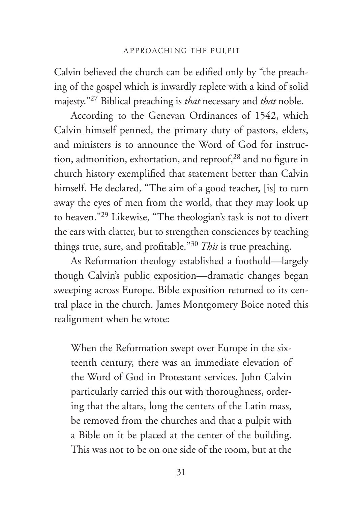Calvin believed the church can be edified only by "the preaching of the gospel which is inwardly replete with a kind of solid majesty."27 Biblical preaching is *that* necessary and *that* noble.

According to the Genevan Ordinances of 1542, which Calvin himself penned, the primary duty of pastors, elders, and ministers is to announce the Word of God for instruction, admonition, exhortation, and reproof,<sup>28</sup> and no figure in church history exemplified that statement better than Calvin himself. He declared, "The aim of a good teacher, [is] to turn away the eyes of men from the world, that they may look up to heaven."29 Likewise, "The theologian's task is not to divert the ears with clatter, but to strengthen consciences by teaching things true, sure, and profitable."30 *This* is true preaching.

As Reformation theology established a foothold—largely though Calvin's public exposition—dramatic changes began sweeping across Europe. Bible exposition returned to its central place in the church. James Montgomery Boice noted this realignment when he wrote:

When the Reformation swept over Europe in the sixteenth century, there was an immediate elevation of the Word of God in Protestant services. John Calvin particularly carried this out with thoroughness, ordering that the altars, long the centers of the Latin mass, be removed from the churches and that a pulpit with a Bible on it be placed at the center of the building. This was not to be on one side of the room, but at the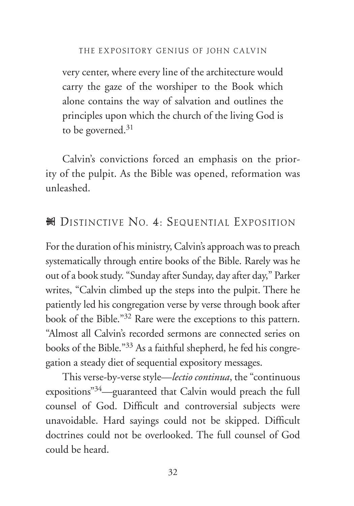very center, where every line of the architecture would carry the gaze of the worshiper to the Book which alone contains the way of salvation and outlines the principles upon which the church of the living God is to be governed. $31$ 

Calvin's convictions forced an emphasis on the priority of the pulpit. As the Bible was opened, reformation was unleashed.

#### No. 4: Sequential Exposition &

For the duration of his ministry, Calvin's approach was to preach systematically through entire books of the Bible. Rarely was he out of a book study. "Sunday after Sunday, day after day," Parker writes, "Calvin climbed up the steps into the pulpit. There he patiently led his congregation verse by verse through book after book of the Bible."32 Rare were the exceptions to this pattern. "Almost all Calvin's recorded sermons are connected series on books of the Bible."33 As a faithful shepherd, he fed his congregation a steady diet of sequential expository messages.

This verse-by-verse style—*lectio continua*, the "continuous expositions"34—guaranteed that Calvin would preach the full counsel of God. Difficult and controversial subjects were unavoidable. Hard sayings could not be skipped. Difficult doctrines could not be overlooked. The full counsel of God could be heard.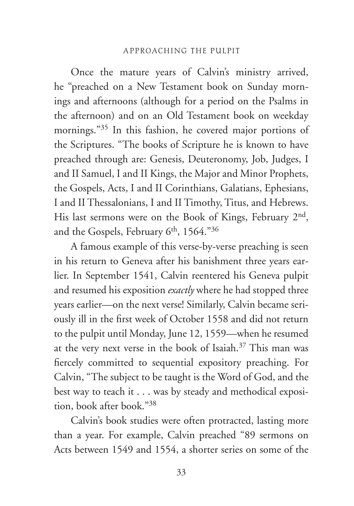Once the mature years of Calvin's ministry arrived, he "preached on a New Testament book on Sunday mornings and afternoons (although for a period on the Psalms in the afternoon) and on an Old Testament book on weekday mornings."35 In this fashion, he covered major portions of the Scriptures. "The books of Scripture he is known to have preached through are: Genesis, Deuteronomy, Job, Judges, I and II Samuel, I and II Kings, the Major and Minor Prophets, the Gospels, Acts, I and II Corinthians, Galatians, Ephesians, I and II Thessalonians, I and II Timothy, Titus, and Hebrews. His last sermons were on the Book of Kings, February 2nd, and the Gospels, February 6<sup>th</sup>, 1564."<sup>36</sup>

A famous example of this verse-by-verse preaching is seen in his return to Geneva after his banishment three years earlier. In September 1541, Calvin reentered his Geneva pulpit and resumed his exposition *exactly* where he had stopped three years earlier—on the next verse! Similarly, Calvin became seriously ill in the first week of October 1558 and did not return to the pulpit until Monday, June 12, 1559—when he resumed at the very next verse in the book of Isaiah.<sup>37</sup> This man was fiercely committed to sequential expository preaching. For Calvin, "The subject to be taught is the Word of God, and the best way to teach it . . . was by steady and methodical exposition, book after book."38

Calvin's book studies were often protracted, lasting more than a year. For example, Calvin preached "89 sermons on Acts between 1549 and 1554, a shorter series on some of the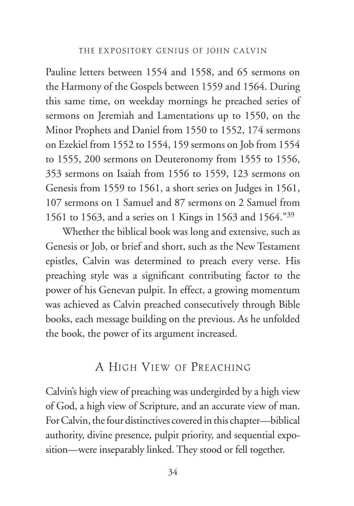Pauline letters between 1554 and 1558, and 65 sermons on the Harmony of the Gospels between 1559 and 1564. During this same time, on weekday mornings he preached series of sermons on Jeremiah and Lamentations up to 1550, on the Minor Prophets and Daniel from 1550 to 1552, 174 sermons on Ezekiel from 1552 to 1554, 159 sermons on Job from 1554 to 1555, 200 sermons on Deuteronomy from 1555 to 1556, 353 sermons on Isaiah from 1556 to 1559, 123 sermons on Genesis from 1559 to 1561, a short series on Judges in 1561, 107 sermons on 1 Samuel and 87 sermons on 2 Samuel from 1561 to 1563, and a series on 1 Kings in 1563 and 1564."39

Whether the biblical book was long and extensive, such as Genesis or Job, or brief and short, such as the New Testament epistles, Calvin was determined to preach every verse. His preaching style was a significant contributing factor to the power of his Genevan pulpit. In effect, a growing momentum was achieved as Calvin preached consecutively through Bible books, each message building on the previous. As he unfolded the book, the power of its argument increased.

#### A HIGH VIEW OF PREACHING

Calvin's high view of preaching was undergirded by a high view of God, a high view of Scripture, and an accurate view of man. For Calvin, the four distinctives covered in this chapter—biblical authority, divine presence, pulpit priority, and sequential exposition—were inseparably linked. They stood or fell together.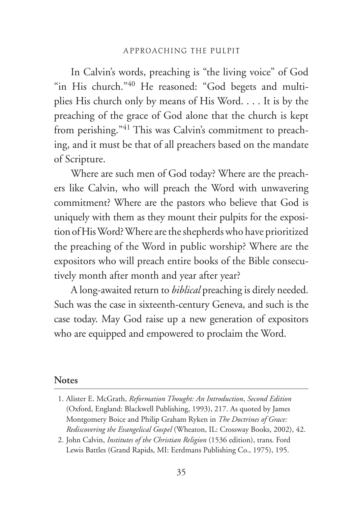In Calvin's words, preaching is "the living voice" of God "in His church."<sup>40</sup> He reasoned: "God begets and multiplies His church only by means of His Word. . . . It is by the preaching of the grace of God alone that the church is kept from perishing."<sup>41</sup> This was Calvin's commitment to preaching, and it must be that of all preachers based on the mandate of Scripture.

Where are such men of God today? Where are the preachers like Calvin, who will preach the Word with unwavering commitment? Where are the pastors who believe that God is uniquely with them as they mount their pulpits for the exposition of His Word? Where are the shepherds who have prioritized the preaching of the Word in public worship? Where are the expositors who will preach entire books of the Bible consecutively month after month and year after year?

A long-awaited return to *biblical* preaching is direly needed. Such was the case in sixteenth-century Geneva, and such is the case today. May God raise up a new generation of expositors who are equipped and empowered to proclaim the Word.

#### **Notes**

<sup>1.</sup> Alister E. McGrath, *Reformation Thought: An Introduction*, *Second Edition* (Oxford, England: Blackwell Publishing, 1993), 217. As quoted by James Montgomery Boice and Philip Graham Ryken in *The Doctrines of Grace: Rediscovering the Evangelical Gospel* (Wheaton, IL: Crossway Books, 2002), 42.

<sup>2.</sup> John Calvin, *Institutes of the Christian Religion* (1536 edition), trans. Ford Lewis Battles (Grand Rapids, MI: Eerdmans Publishing Co., 1975), 195.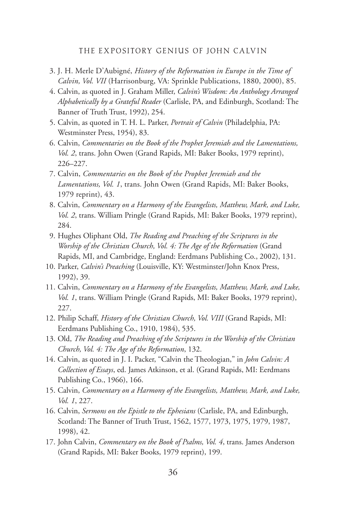#### THE EXPOSITORY GENIUS OF JOHN CALVIN

- 3. J. H. Merle D'Aubigné, *History of the Reformation in Europe in the Time of Calvin, Vol. VII* (Harrisonburg, VA: Sprinkle Publications, 1880, 2000), 85.
- 4. Calvin, as quoted in J. Graham Miller, *Calvin's Wisdom: An Anthology Arranged Alphabetically by a Grateful Reader* (Carlisle, PA, and Edinburgh, Scotland: The Banner of Truth Trust, 1992), 254.
- 5. Calvin, as quoted in T. H. L. Parker, *Portrait of Calvin* (Philadelphia, PA: Westminster Press, 1954), 83.
- 6. Calvin, *Commentaries on the Book of the Prophet Jeremiah and the Lamentations, Vol. 2*, trans. John Owen (Grand Rapids, MI: Baker Books, 1979 reprint), 226–227.
- 7. Calvin, *Commentaries on the Book of the Prophet Jeremiah and the Lamentations, Vol. 1*, trans. John Owen (Grand Rapids, MI: Baker Books, 1979 reprint), 43.
- 8. Calvin, *Commentary on a Harmony of the Evangelists, Matthew, Mark, and Luke, Vol. 2*, trans. William Pringle (Grand Rapids, MI: Baker Books, 1979 reprint), 284.
- 9. Hughes Oliphant Old, *The Reading and Preaching of the Scriptures in the Worship of the Christian Church, Vol. 4: The Age of the Reformation* (Grand Rapids, MI, and Cambridge, England: Eerdmans Publishing Co., 2002), 131.
- 10. Parker, *Calvin's Preaching* (Louisville, KY: Westminster/John Knox Press, 1992), 39.
- 11. Calvin, *Commentary on a Harmony of the Evangelists, Matthew, Mark, and Luke, Vol. 1*, trans. William Pringle (Grand Rapids, MI: Baker Books, 1979 reprint), 227.
- 12. Philip Schaff, *History of the Christian Church, Vol. VIII* (Grand Rapids, MI: Eerdmans Publishing Co., 1910, 1984), 535.
- 13. Old, *The Reading and Preaching of the Scriptures in the Worship of the Christian Church, Vol. 4: The Age of the Reformation*, 132.
- 14. Calvin, as quoted in J. I. Packer, "Calvin the Theologian," in *John Calvin: A Collection of Essays*, ed. James Atkinson, et al. (Grand Rapids, MI: Eerdmans Publishing Co., 1966), 166.
- 15. Calvin, *Commentary on a Harmony of the Evangelists, Matthew, Mark, and Luke, Vol. 1*, 227.
- 16. Calvin, *Sermons on the Epistle to the Ephesians* (Carlisle, PA, and Edinburgh, Scotland: The Banner of Truth Trust, 1562, 1577, 1973, 1975, 1979, 1987, 1998), 42.
- 17. John Calvin, *Commentary on the Book of Psalms, Vol. 4*, trans. James Anderson (Grand Rapids, MI: Baker Books, 1979 reprint), 199.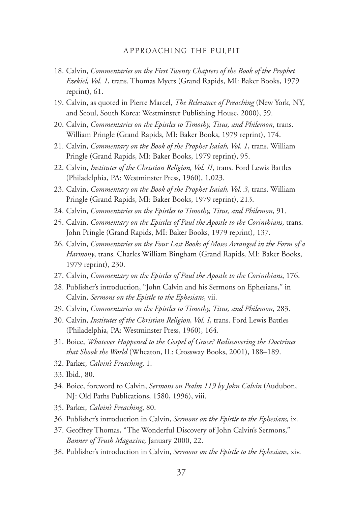#### A PPROACHING THE PULPIT

- 18. Calvin, *Commentaries on the First Twenty Chapters of the Book of the Prophet Ezekiel, Vol. 1*, trans. Thomas Myers (Grand Rapids, MI: Baker Books, 1979 reprint), 61.
- 19. Calvin, as quoted in Pierre Marcel, *The Relevance of Preaching* (New York, NY, and Seoul, South Korea: Westminster Publishing House, 2000), 59.
- 20. Calvin, *Commentaries on the Epistles to Timothy, Titus, and Philemon*, trans. William Pringle (Grand Rapids, MI: Baker Books, 1979 reprint), 174.
- 21. Calvin, *Commentary on the Book of the Prophet Isaiah, Vol. 1*, trans. William Pringle (Grand Rapids, MI: Baker Books, 1979 reprint), 95.
- 22. Calvin, *Institutes of the Christian Religion, Vol. II*, trans. Ford Lewis Battles (Philadelphia, PA: Westminster Press, 1960), 1,023.
- 23. Calvin, *Commentary on the Book of the Prophet Isaiah, Vol. 3*, trans. William Pringle (Grand Rapids, MI: Baker Books, 1979 reprint), 213.
- 24. Calvin, *Commentaries on the Epistles to Timothy, Titus, and Philemon*, 91.
- 25. Calvin, *Commentary on the Epistles of Paul the Apostle to the Corinthians*, trans. John Pringle (Grand Rapids, MI: Baker Books, 1979 reprint), 137.
- 26. Calvin, *Commentaries on the Four Last Books of Moses Arranged in the Form of a Harmony*, trans. Charles William Bingham (Grand Rapids, MI: Baker Books, 1979 reprint), 230.
- 27. Calvin, *Commentary on the Epistles of Paul the Apostle to the Corinthians*, 176.
- 28. Publisher's introduction, "John Calvin and his Sermons on Ephesians," in Calvin, *Sermons on the Epistle to the Ephesians*, vii.
- 29. Calvin, *Commentaries on the Epistles to Timothy, Titus, and Philemon*, 283.
- 30. Calvin, *Institutes of the Christian Religion, Vol. I*, trans. Ford Lewis Battles (Philadelphia, PA: Westminster Press, 1960), 164.
- 31. Boice, *Whatever Happened to the Gospel of Grace? Rediscovering the Doctrines that Shook the World* (Wheaton, IL: Crossway Books, 2001), 188–189.
- 32. Parker, *Calvin's Preaching*, 1.
- 33. Ibid., 80.
- 34. Boice, foreword to Calvin, *Sermons on Psalm 119 by John Calvin* (Audubon, NJ: Old Paths Publications, 1580, 1996), viii.
- 35. Parker, *Calvin's Preaching*, 80.
- 36. Publisher's introduction in Calvin, *Sermons on the Epistle to the Ephesians,* ix.
- 37. Geoffrey Thomas, "The Wonderful Discovery of John Calvin's Sermons," *Banner of Truth Magazine,* January 2000, 22.
- 38. Publisher's introduction in Calvin, *Sermons on the Epistle to the Ephesians*, xiv.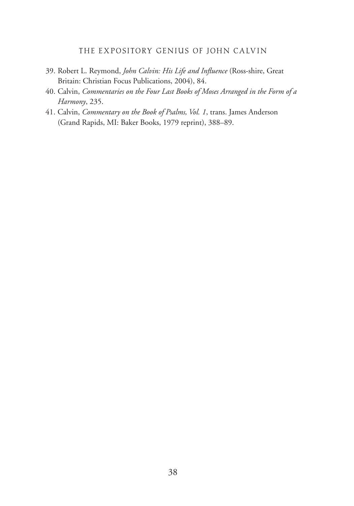#### THE EXPOSITORY GENIUS OF JOHN CALVIN

- 39. Robert L. Reymond, *John Calvin: His Life and Influence* (Ross-shire, Great Britain: Christian Focus Publications, 2004), 84.
- 40. Calvin, *Commentaries on the Four Last Books of Moses Arranged in the Form of a Harmony*, 235.
- 41. Calvin, *Commentary on the Book of Psalms, Vol. 1*, trans. James Anderson (Grand Rapids, MI: Baker Books, 1979 reprint), 388–89.